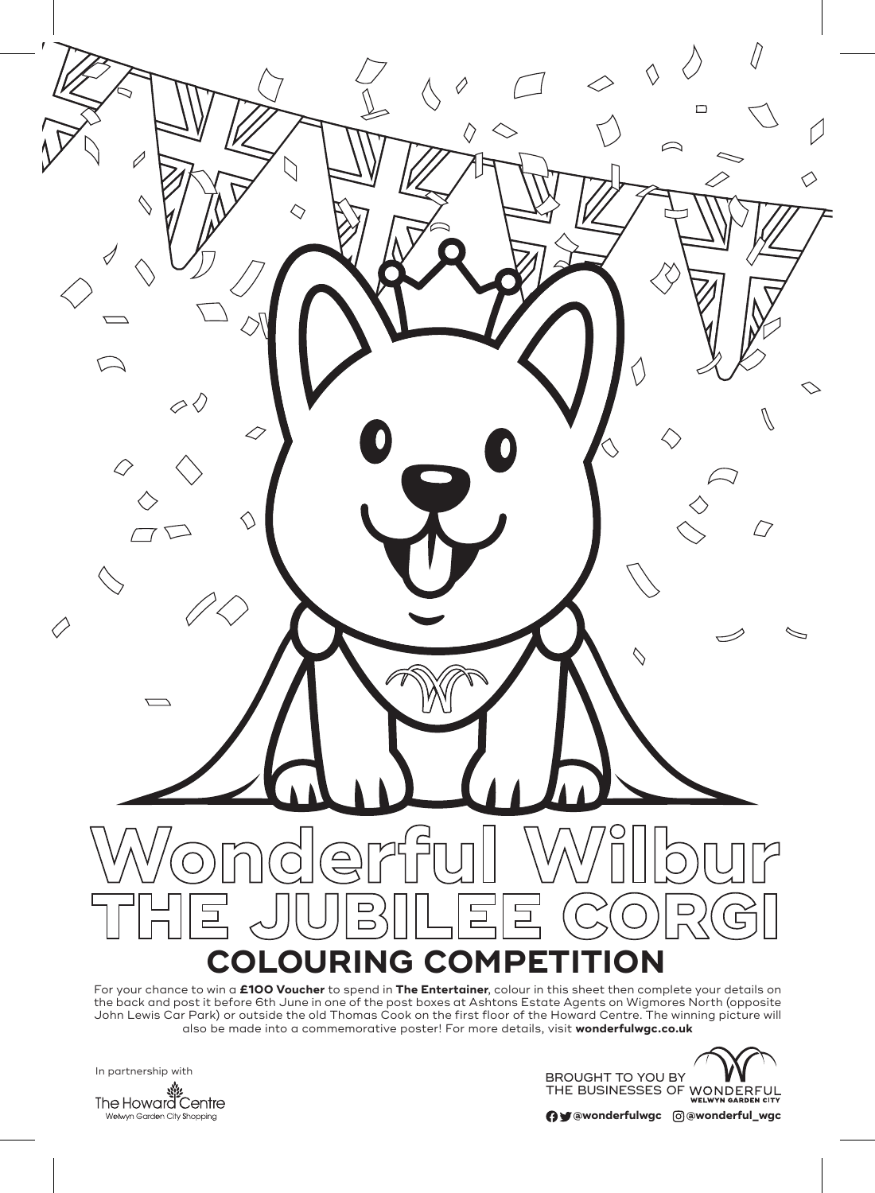

the back and post it before 6th June in one of the post boxes at Ashtons Estate Agents on Wigmores North (opposite John Lewis Car Park) or outside the old Thomas Cook on the first floor of the Howard Centre. The winning picture will also be made into a commemorative poster! For more details, visit **wonderfulwgc.co.uk**



**@wonderfulwgc @wonderful\_wgc**

Welwyn Garden City Shopping